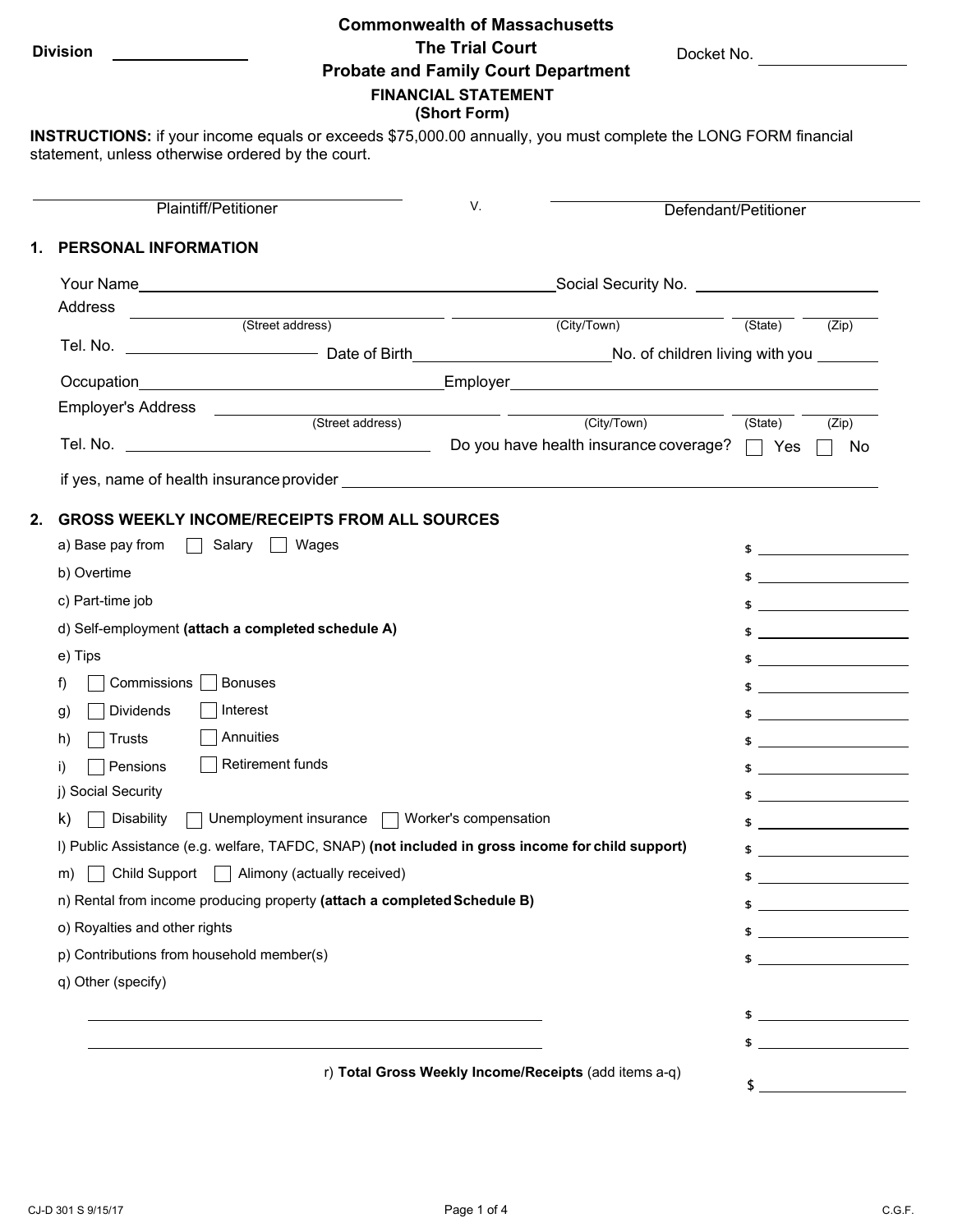#### **Commonwealth of Massachusetts**

**Division The Trial Court Probate and Family Court Department**

Docket No.

#### **FINANCIAL STATEMENT (Short Form)**

**INSTRUCTIONS:** if your income equals or exceeds \$75,000.00 annually, you must complete the LONG FORM financial statement, unless otherwise ordered by the court.

| Plaintiff/Petitioner                                                                                                                                                                                                               | V.                                                    |                                                                                                                                                                                                                                | Defendant/Petitioner |                                                                                                                                                                                                                                                                                                                     |  |
|------------------------------------------------------------------------------------------------------------------------------------------------------------------------------------------------------------------------------------|-------------------------------------------------------|--------------------------------------------------------------------------------------------------------------------------------------------------------------------------------------------------------------------------------|----------------------|---------------------------------------------------------------------------------------------------------------------------------------------------------------------------------------------------------------------------------------------------------------------------------------------------------------------|--|
| PERSONAL INFORMATION                                                                                                                                                                                                               |                                                       |                                                                                                                                                                                                                                |                      |                                                                                                                                                                                                                                                                                                                     |  |
|                                                                                                                                                                                                                                    |                                                       | _Social Security No. ________________________                                                                                                                                                                                  |                      |                                                                                                                                                                                                                                                                                                                     |  |
| Address                                                                                                                                                                                                                            |                                                       |                                                                                                                                                                                                                                |                      |                                                                                                                                                                                                                                                                                                                     |  |
| (Street address)                                                                                                                                                                                                                   |                                                       | (City/Town)                                                                                                                                                                                                                    | (State)              | (Zip)                                                                                                                                                                                                                                                                                                               |  |
| Tel. No. _________________________________Date of Birth__________________________No. of children living with you ________                                                                                                          |                                                       |                                                                                                                                                                                                                                |                      |                                                                                                                                                                                                                                                                                                                     |  |
| Occupation <b>Designation Contract Contract Contract Contract Contract Contract Contract Contract Contract Contract Contract Contract Contract Contract Contract Contract Contract Contract Contract Contract Contract Contrac</b> |                                                       | Employer and the contract of the contract of the contract of the contract of the contract of the contract of the contract of the contract of the contract of the contract of the contract of the contract of the contract of t |                      |                                                                                                                                                                                                                                                                                                                     |  |
| Employer's Address ____________                                                                                                                                                                                                    | (Street address)                                      | (City/Town)                                                                                                                                                                                                                    | (State)              | (Zip)                                                                                                                                                                                                                                                                                                               |  |
|                                                                                                                                                                                                                                    |                                                       |                                                                                                                                                                                                                                |                      | No                                                                                                                                                                                                                                                                                                                  |  |
|                                                                                                                                                                                                                                    |                                                       |                                                                                                                                                                                                                                |                      |                                                                                                                                                                                                                                                                                                                     |  |
| <b>GROSS WEEKLY INCOME/RECEIPTS FROM ALL SOURCES</b>                                                                                                                                                                               |                                                       |                                                                                                                                                                                                                                |                      |                                                                                                                                                                                                                                                                                                                     |  |
| Salary     Wages<br>a) Base pay from                                                                                                                                                                                               |                                                       |                                                                                                                                                                                                                                |                      | $\frac{1}{2}$                                                                                                                                                                                                                                                                                                       |  |
| b) Overtime                                                                                                                                                                                                                        |                                                       |                                                                                                                                                                                                                                |                      | $\updownarrow$                                                                                                                                                                                                                                                                                                      |  |
| c) Part-time job                                                                                                                                                                                                                   |                                                       |                                                                                                                                                                                                                                |                      | $\updownarrow$                                                                                                                                                                                                                                                                                                      |  |
| d) Self-employment (attach a completed schedule A)                                                                                                                                                                                 |                                                       |                                                                                                                                                                                                                                |                      | $\frac{1}{2}$ $\frac{1}{2}$ $\frac{1}{2}$ $\frac{1}{2}$ $\frac{1}{2}$ $\frac{1}{2}$ $\frac{1}{2}$ $\frac{1}{2}$ $\frac{1}{2}$ $\frac{1}{2}$ $\frac{1}{2}$ $\frac{1}{2}$ $\frac{1}{2}$ $\frac{1}{2}$ $\frac{1}{2}$ $\frac{1}{2}$ $\frac{1}{2}$ $\frac{1}{2}$ $\frac{1}{2}$ $\frac{1}{2}$ $\frac{1}{2}$ $\frac{1}{2}$ |  |
| e) Tips                                                                                                                                                                                                                            |                                                       |                                                                                                                                                                                                                                |                      | $\frac{1}{2}$                                                                                                                                                                                                                                                                                                       |  |
| Commissions  <br><b>Bonuses</b><br>f)                                                                                                                                                                                              |                                                       |                                                                                                                                                                                                                                |                      | $\frac{1}{2}$                                                                                                                                                                                                                                                                                                       |  |
| Interest<br>Dividends<br>g)                                                                                                                                                                                                        |                                                       |                                                                                                                                                                                                                                |                      | $$$ $$$ $$$                                                                                                                                                                                                                                                                                                         |  |
| Annuities<br>Trusts<br>h)                                                                                                                                                                                                          |                                                       |                                                                                                                                                                                                                                |                      | $\frac{1}{2}$ $\frac{1}{2}$ $\frac{1}{2}$ $\frac{1}{2}$ $\frac{1}{2}$ $\frac{1}{2}$ $\frac{1}{2}$ $\frac{1}{2}$ $\frac{1}{2}$ $\frac{1}{2}$ $\frac{1}{2}$ $\frac{1}{2}$ $\frac{1}{2}$ $\frac{1}{2}$ $\frac{1}{2}$ $\frac{1}{2}$ $\frac{1}{2}$ $\frac{1}{2}$ $\frac{1}{2}$ $\frac{1}{2}$ $\frac{1}{2}$ $\frac{1}{2}$ |  |
| Retirement funds<br>Pensions<br>i)                                                                                                                                                                                                 |                                                       |                                                                                                                                                                                                                                |                      | $\frac{1}{2}$ $\frac{1}{2}$ $\frac{1}{2}$ $\frac{1}{2}$ $\frac{1}{2}$ $\frac{1}{2}$ $\frac{1}{2}$ $\frac{1}{2}$ $\frac{1}{2}$ $\frac{1}{2}$ $\frac{1}{2}$ $\frac{1}{2}$ $\frac{1}{2}$ $\frac{1}{2}$ $\frac{1}{2}$ $\frac{1}{2}$ $\frac{1}{2}$ $\frac{1}{2}$ $\frac{1}{2}$ $\frac{1}{2}$ $\frac{1}{2}$ $\frac{1}{2}$ |  |
| j) Social Security                                                                                                                                                                                                                 |                                                       |                                                                                                                                                                                                                                |                      | $\frac{1}{2}$ $\frac{1}{2}$ $\frac{1}{2}$ $\frac{1}{2}$ $\frac{1}{2}$ $\frac{1}{2}$ $\frac{1}{2}$ $\frac{1}{2}$ $\frac{1}{2}$ $\frac{1}{2}$ $\frac{1}{2}$ $\frac{1}{2}$ $\frac{1}{2}$ $\frac{1}{2}$ $\frac{1}{2}$ $\frac{1}{2}$ $\frac{1}{2}$ $\frac{1}{2}$ $\frac{1}{2}$ $\frac{1}{2}$ $\frac{1}{2}$ $\frac{1}{2}$ |  |
| Unemployment insurance □ Worker's compensation<br><b>Disability</b><br>k)                                                                                                                                                          |                                                       |                                                                                                                                                                                                                                |                      | $\updownarrow$ $\updownarrow$                                                                                                                                                                                                                                                                                       |  |
| I) Public Assistance (e.g. welfare, TAFDC, SNAP) (not included in gross income for child support)                                                                                                                                  |                                                       |                                                                                                                                                                                                                                |                      | $\frac{1}{2}$ $\frac{1}{2}$ $\frac{1}{2}$ $\frac{1}{2}$ $\frac{1}{2}$ $\frac{1}{2}$ $\frac{1}{2}$ $\frac{1}{2}$ $\frac{1}{2}$ $\frac{1}{2}$ $\frac{1}{2}$ $\frac{1}{2}$ $\frac{1}{2}$ $\frac{1}{2}$ $\frac{1}{2}$ $\frac{1}{2}$ $\frac{1}{2}$ $\frac{1}{2}$ $\frac{1}{2}$ $\frac{1}{2}$ $\frac{1}{2}$ $\frac{1}{2}$ |  |
| Child Support   Alimony (actually received)<br>m)                                                                                                                                                                                  |                                                       |                                                                                                                                                                                                                                |                      | $$ \_$                                                                                                                                                                                                                                                                                                              |  |
| n) Rental from income producing property (attach a completed Schedule B)                                                                                                                                                           |                                                       |                                                                                                                                                                                                                                |                      | <u> The Communication of the Communication</u>                                                                                                                                                                                                                                                                      |  |
| o) Royalties and other rights                                                                                                                                                                                                      |                                                       |                                                                                                                                                                                                                                |                      | $$ \_$                                                                                                                                                                                                                                                                                                              |  |
| p) Contributions from household member(s)                                                                                                                                                                                          |                                                       |                                                                                                                                                                                                                                |                      | $\frac{1}{2}$ $\frac{1}{2}$ $\frac{1}{2}$ $\frac{1}{2}$ $\frac{1}{2}$ $\frac{1}{2}$ $\frac{1}{2}$ $\frac{1}{2}$ $\frac{1}{2}$ $\frac{1}{2}$ $\frac{1}{2}$ $\frac{1}{2}$ $\frac{1}{2}$ $\frac{1}{2}$ $\frac{1}{2}$ $\frac{1}{2}$ $\frac{1}{2}$ $\frac{1}{2}$ $\frac{1}{2}$ $\frac{1}{2}$ $\frac{1}{2}$ $\frac{1}{2}$ |  |
| q) Other (specify)                                                                                                                                                                                                                 |                                                       |                                                                                                                                                                                                                                |                      |                                                                                                                                                                                                                                                                                                                     |  |
|                                                                                                                                                                                                                                    |                                                       |                                                                                                                                                                                                                                |                      |                                                                                                                                                                                                                                                                                                                     |  |
|                                                                                                                                                                                                                                    |                                                       |                                                                                                                                                                                                                                | \$                   | <u> 1989 - Johann Barn, mars and de Brasilia (b. 1989)</u>                                                                                                                                                                                                                                                          |  |
|                                                                                                                                                                                                                                    | r) Total Gross Weekly Income/Receipts (add items a-q) |                                                                                                                                                                                                                                |                      |                                                                                                                                                                                                                                                                                                                     |  |
|                                                                                                                                                                                                                                    |                                                       |                                                                                                                                                                                                                                |                      |                                                                                                                                                                                                                                                                                                                     |  |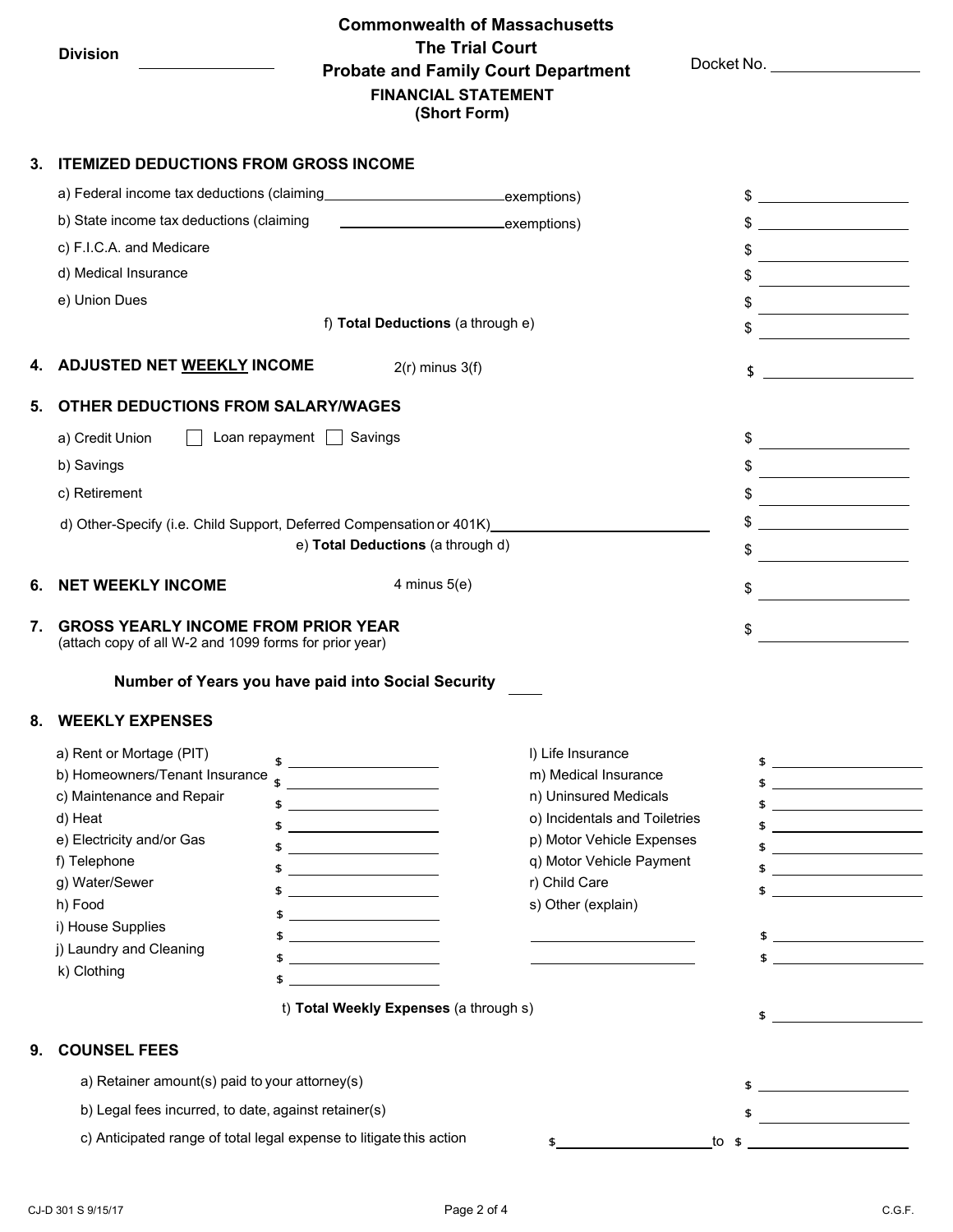## **Commonwealth of Massachusetts Division The Trial Court Probate and Family Court Department FINANCIAL STATEMENT (Short Form)**

Docket No.

#### **3. ITEMIZED DEDUCTIONS FROM GROSS INCOME**

|    | a) Federal income tax deductions (claiming                                                                                                                                                                                                  | exemptions)                                                                                                                                                                                                                                                                                                                                      |                                                                                                                                                                                                     | $\frac{1}{2}$                                                                                                                                                                                                                                                                                                                                                                                                                                                                                                                                                                                                                                                                                                                              |
|----|---------------------------------------------------------------------------------------------------------------------------------------------------------------------------------------------------------------------------------------------|--------------------------------------------------------------------------------------------------------------------------------------------------------------------------------------------------------------------------------------------------------------------------------------------------------------------------------------------------|-----------------------------------------------------------------------------------------------------------------------------------------------------------------------------------------------------|--------------------------------------------------------------------------------------------------------------------------------------------------------------------------------------------------------------------------------------------------------------------------------------------------------------------------------------------------------------------------------------------------------------------------------------------------------------------------------------------------------------------------------------------------------------------------------------------------------------------------------------------------------------------------------------------------------------------------------------------|
|    | b) State income tax deductions (claiming                                                                                                                                                                                                    | exemptions)                                                                                                                                                                                                                                                                                                                                      |                                                                                                                                                                                                     |                                                                                                                                                                                                                                                                                                                                                                                                                                                                                                                                                                                                                                                                                                                                            |
|    | c) F.I.C.A. and Medicare                                                                                                                                                                                                                    |                                                                                                                                                                                                                                                                                                                                                  |                                                                                                                                                                                                     | \$                                                                                                                                                                                                                                                                                                                                                                                                                                                                                                                                                                                                                                                                                                                                         |
|    | d) Medical Insurance                                                                                                                                                                                                                        |                                                                                                                                                                                                                                                                                                                                                  |                                                                                                                                                                                                     | \$                                                                                                                                                                                                                                                                                                                                                                                                                                                                                                                                                                                                                                                                                                                                         |
|    | e) Union Dues                                                                                                                                                                                                                               |                                                                                                                                                                                                                                                                                                                                                  |                                                                                                                                                                                                     | $\frac{1}{\sqrt{2}}$                                                                                                                                                                                                                                                                                                                                                                                                                                                                                                                                                                                                                                                                                                                       |
|    |                                                                                                                                                                                                                                             | f) Total Deductions (a through e)                                                                                                                                                                                                                                                                                                                |                                                                                                                                                                                                     | $\begin{array}{c c c c c} \hline \texttt{S} & \texttt{S} & \texttt{S} & \texttt{S} & \texttt{S} & \texttt{S} & \texttt{S} & \texttt{S} & \texttt{S} & \texttt{S} & \texttt{S} & \texttt{S} & \texttt{S} & \texttt{S} & \texttt{S} & \texttt{S} & \texttt{S} & \texttt{S} & \texttt{S} & \texttt{S} & \texttt{S} & \texttt{S} & \texttt{S} & \texttt{S} & \texttt{S} & \texttt{S} & \texttt{S} & \texttt{S} & \texttt{S}$                                                                                                                                                                                                                                                                                                                   |
|    | 4. ADJUSTED NET <u>WEEKLY</u> INCOME                                                                                                                                                                                                        | $2(r)$ minus $3(f)$                                                                                                                                                                                                                                                                                                                              |                                                                                                                                                                                                     | $\updownarrow$                                                                                                                                                                                                                                                                                                                                                                                                                                                                                                                                                                                                                                                                                                                             |
| 5. | <b>OTHER DEDUCTIONS FROM SALARY/WAGES</b>                                                                                                                                                                                                   |                                                                                                                                                                                                                                                                                                                                                  |                                                                                                                                                                                                     |                                                                                                                                                                                                                                                                                                                                                                                                                                                                                                                                                                                                                                                                                                                                            |
|    | a) Credit Union                                                                                                                                                                                                                             | Loan repayment   Savings                                                                                                                                                                                                                                                                                                                         |                                                                                                                                                                                                     |                                                                                                                                                                                                                                                                                                                                                                                                                                                                                                                                                                                                                                                                                                                                            |
|    | b) Savings                                                                                                                                                                                                                                  |                                                                                                                                                                                                                                                                                                                                                  |                                                                                                                                                                                                     |                                                                                                                                                                                                                                                                                                                                                                                                                                                                                                                                                                                                                                                                                                                                            |
|    | c) Retirement                                                                                                                                                                                                                               |                                                                                                                                                                                                                                                                                                                                                  |                                                                                                                                                                                                     |                                                                                                                                                                                                                                                                                                                                                                                                                                                                                                                                                                                                                                                                                                                                            |
|    |                                                                                                                                                                                                                                             |                                                                                                                                                                                                                                                                                                                                                  | d) Other-Specify (i.e. Child Support, Deferred Compensation or 401K) [1994] - Connection of ADIX and Discussion or 401K)                                                                            | $\frac{1}{2}$                                                                                                                                                                                                                                                                                                                                                                                                                                                                                                                                                                                                                                                                                                                              |
|    |                                                                                                                                                                                                                                             | e) Total Deductions (a through d)                                                                                                                                                                                                                                                                                                                |                                                                                                                                                                                                     | $\frac{1}{2}$                                                                                                                                                                                                                                                                                                                                                                                                                                                                                                                                                                                                                                                                                                                              |
| 6. | <b>NET WEEKLY INCOME</b>                                                                                                                                                                                                                    | 4 minus $5(e)$                                                                                                                                                                                                                                                                                                                                   |                                                                                                                                                                                                     | $\frac{1}{2}$                                                                                                                                                                                                                                                                                                                                                                                                                                                                                                                                                                                                                                                                                                                              |
| 7. | <b>GROSS YEARLY INCOME FROM PRIOR YEAR</b><br>(attach copy of all W-2 and 1099 forms for prior year)                                                                                                                                        |                                                                                                                                                                                                                                                                                                                                                  |                                                                                                                                                                                                     | \$                                                                                                                                                                                                                                                                                                                                                                                                                                                                                                                                                                                                                                                                                                                                         |
|    |                                                                                                                                                                                                                                             | Number of Years you have paid into Social Security                                                                                                                                                                                                                                                                                               |                                                                                                                                                                                                     |                                                                                                                                                                                                                                                                                                                                                                                                                                                                                                                                                                                                                                                                                                                                            |
| 8. | <b>WEEKLY EXPENSES</b>                                                                                                                                                                                                                      |                                                                                                                                                                                                                                                                                                                                                  |                                                                                                                                                                                                     |                                                                                                                                                                                                                                                                                                                                                                                                                                                                                                                                                                                                                                                                                                                                            |
|    | a) Rent or Mortage (PIT)<br>b) Homeowners/Tenant Insurance<br>c) Maintenance and Repair<br>d) Heat<br>e) Electricity and/or Gas<br>f) Telephone<br>g) Water/Sewer<br>h) Food<br>i) House Supplies<br>j) Laundry and Cleaning<br>k) Clothing | \$<br><u> Listen van die Stad van die Stad van die Stad van die Stad van die Stad van die Stad van die Stad van die Stad</u><br><u> Albanya (Albanya) a shekara ta 1999 a shekara ta 1999 a shekara ta 1999 a shekara ta 1991 a shekara ta 1991 a</u><br><u> 1980 - Johann Barbara, martin a</u><br>\$<br>t) Total Weekly Expenses (a through s) | I) Life Insurance<br>m) Medical Insurance<br>n) Uninsured Medicals<br>o) Incidentals and Toiletries<br>p) Motor Vehicle Expenses<br>q) Motor Vehicle Payment<br>r) Child Care<br>s) Other (explain) | $\frac{1}{2}$ $\frac{1}{2}$ $\frac{1}{2}$ $\frac{1}{2}$ $\frac{1}{2}$ $\frac{1}{2}$ $\frac{1}{2}$ $\frac{1}{2}$ $\frac{1}{2}$ $\frac{1}{2}$ $\frac{1}{2}$ $\frac{1}{2}$ $\frac{1}{2}$ $\frac{1}{2}$ $\frac{1}{2}$ $\frac{1}{2}$ $\frac{1}{2}$ $\frac{1}{2}$ $\frac{1}{2}$ $\frac{1}{2}$ $\frac{1}{2}$ $\frac{1}{2}$<br>$$ \_$<br><u> 2000 - John Stone, amerikansk politiker (</u><br>$\frac{1}{2}$ $\frac{1}{2}$ $\frac{1}{2}$ $\frac{1}{2}$ $\frac{1}{2}$ $\frac{1}{2}$ $\frac{1}{2}$ $\frac{1}{2}$ $\frac{1}{2}$ $\frac{1}{2}$ $\frac{1}{2}$ $\frac{1}{2}$ $\frac{1}{2}$ $\frac{1}{2}$ $\frac{1}{2}$ $\frac{1}{2}$ $\frac{1}{2}$ $\frac{1}{2}$ $\frac{1}{2}$ $\frac{1}{2}$ $\frac{1}{2}$ $\frac{1}{2}$<br>\$<br>$$ \_$<br>$\frac{1}{2}$ |
|    |                                                                                                                                                                                                                                             |                                                                                                                                                                                                                                                                                                                                                  |                                                                                                                                                                                                     | $\updownarrow$                                                                                                                                                                                                                                                                                                                                                                                                                                                                                                                                                                                                                                                                                                                             |
| 9. | <b>COUNSEL FEES</b>                                                                                                                                                                                                                         |                                                                                                                                                                                                                                                                                                                                                  |                                                                                                                                                                                                     |                                                                                                                                                                                                                                                                                                                                                                                                                                                                                                                                                                                                                                                                                                                                            |
|    | a) Retainer amount(s) paid to your attorney(s)                                                                                                                                                                                              |                                                                                                                                                                                                                                                                                                                                                  |                                                                                                                                                                                                     | $$ \_$                                                                                                                                                                                                                                                                                                                                                                                                                                                                                                                                                                                                                                                                                                                                     |
|    | b) Legal fees incurred, to date, against retainer(s)                                                                                                                                                                                        |                                                                                                                                                                                                                                                                                                                                                  |                                                                                                                                                                                                     | $\frac{1}{\sqrt{1-\frac{1}{2}}}\frac{1}{\sqrt{1-\frac{1}{2}}}\frac{1}{\sqrt{1-\frac{1}{2}}}\frac{1}{\sqrt{1-\frac{1}{2}}}\frac{1}{\sqrt{1-\frac{1}{2}}}\frac{1}{\sqrt{1-\frac{1}{2}}}\frac{1}{\sqrt{1-\frac{1}{2}}}\frac{1}{\sqrt{1-\frac{1}{2}}}\frac{1}{\sqrt{1-\frac{1}{2}}}\frac{1}{\sqrt{1-\frac{1}{2}}}\frac{1}{\sqrt{1-\frac{1}{2}}}\frac{1}{\sqrt{1-\frac{1}{2}}}\frac{1}{\sqrt{1-\frac{1}{2}}}\frac{1}{\sqrt{1-\frac{$                                                                                                                                                                                                                                                                                                            |
|    | c) Anticipated range of total legal expense to litigate this action                                                                                                                                                                         |                                                                                                                                                                                                                                                                                                                                                  |                                                                                                                                                                                                     |                                                                                                                                                                                                                                                                                                                                                                                                                                                                                                                                                                                                                                                                                                                                            |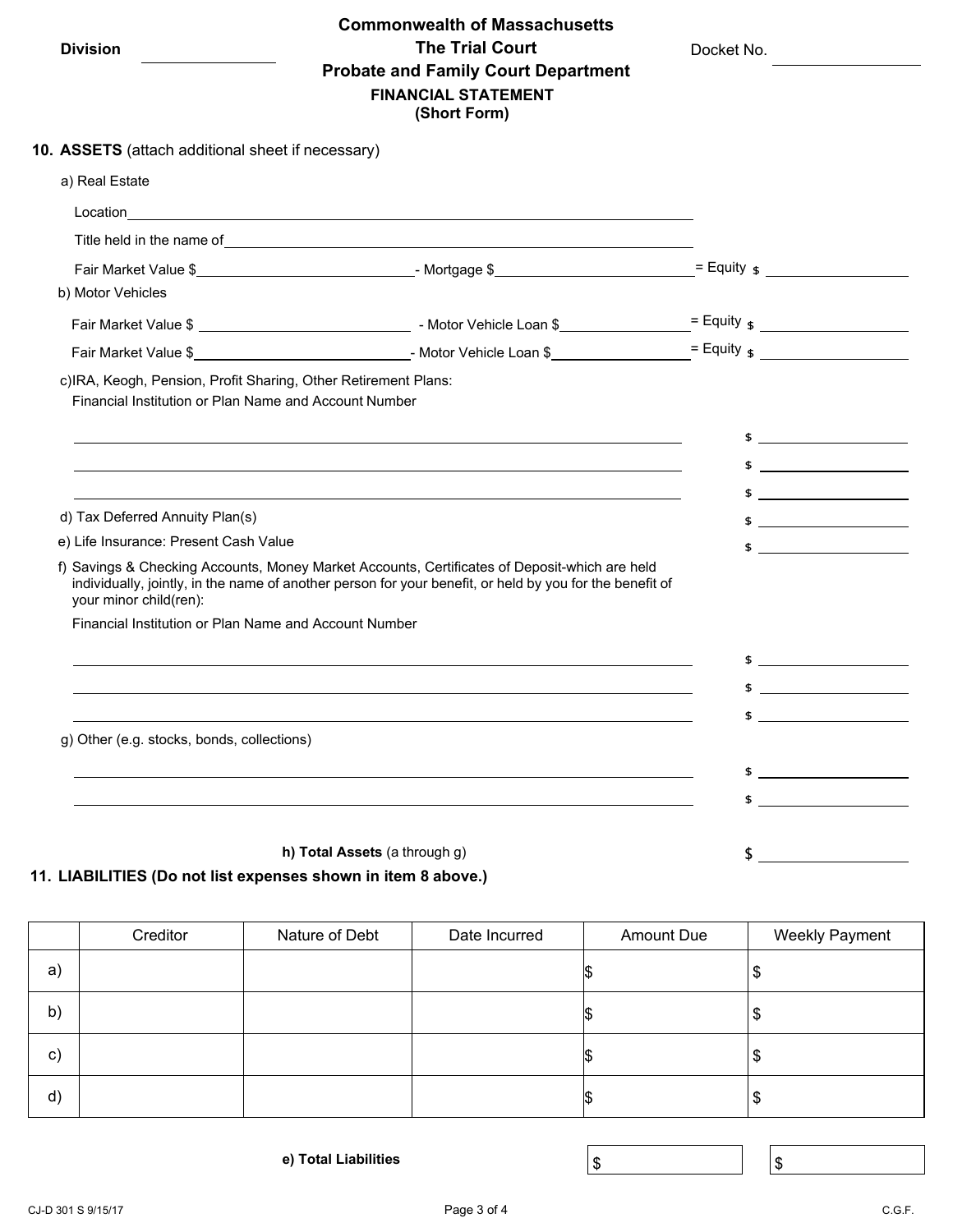|  | Division |  |
|--|----------|--|
|  |          |  |

### **Commonwealth of Massachusetts Division The Trial Court Probate and Family Court Department FINANCIAL STATEMENT (Short Form)**

Docket No.

|                                                                                                                         | (SHULL FUITH)                                                                                                                                                                                                                 |                                                                                                                                                                                                                                                                                                                     |
|-------------------------------------------------------------------------------------------------------------------------|-------------------------------------------------------------------------------------------------------------------------------------------------------------------------------------------------------------------------------|---------------------------------------------------------------------------------------------------------------------------------------------------------------------------------------------------------------------------------------------------------------------------------------------------------------------|
| 10. ASSETS (attach additional sheet if necessary)                                                                       |                                                                                                                                                                                                                               |                                                                                                                                                                                                                                                                                                                     |
| a) Real Estate                                                                                                          |                                                                                                                                                                                                                               |                                                                                                                                                                                                                                                                                                                     |
|                                                                                                                         |                                                                                                                                                                                                                               |                                                                                                                                                                                                                                                                                                                     |
|                                                                                                                         | Title held in the name of example and the set of the set of the set of the set of the set of the set of the set of the set of the set of the set of the set of the set of the set of the set of the set of the set of the set |                                                                                                                                                                                                                                                                                                                     |
|                                                                                                                         |                                                                                                                                                                                                                               |                                                                                                                                                                                                                                                                                                                     |
| b) Motor Vehicles                                                                                                       |                                                                                                                                                                                                                               |                                                                                                                                                                                                                                                                                                                     |
|                                                                                                                         |                                                                                                                                                                                                                               |                                                                                                                                                                                                                                                                                                                     |
|                                                                                                                         |                                                                                                                                                                                                                               |                                                                                                                                                                                                                                                                                                                     |
| c)IRA, Keogh, Pension, Profit Sharing, Other Retirement Plans:<br>Financial Institution or Plan Name and Account Number |                                                                                                                                                                                                                               |                                                                                                                                                                                                                                                                                                                     |
|                                                                                                                         | <u> 1989 - Johann Stoff, deutscher Stoffen und der Stoffen und der Stoffen und der Stoffen und der Stoffen und der</u>                                                                                                        | $$ \_$                                                                                                                                                                                                                                                                                                              |
|                                                                                                                         |                                                                                                                                                                                                                               | $\updownarrow$                                                                                                                                                                                                                                                                                                      |
|                                                                                                                         |                                                                                                                                                                                                                               | $\frac{1}{2}$                                                                                                                                                                                                                                                                                                       |
| d) Tax Deferred Annuity Plan(s)                                                                                         |                                                                                                                                                                                                                               | $\frac{1}{2}$ $\frac{1}{2}$ $\frac{1}{2}$ $\frac{1}{2}$ $\frac{1}{2}$ $\frac{1}{2}$ $\frac{1}{2}$ $\frac{1}{2}$ $\frac{1}{2}$ $\frac{1}{2}$ $\frac{1}{2}$ $\frac{1}{2}$ $\frac{1}{2}$ $\frac{1}{2}$ $\frac{1}{2}$ $\frac{1}{2}$ $\frac{1}{2}$ $\frac{1}{2}$ $\frac{1}{2}$ $\frac{1}{2}$ $\frac{1}{2}$ $\frac{1}{2}$ |
| e) Life Insurance: Present Cash Value                                                                                   |                                                                                                                                                                                                                               | $\frac{1}{2}$                                                                                                                                                                                                                                                                                                       |
| your minor child(ren):                                                                                                  | f) Savings & Checking Accounts, Money Market Accounts, Certificates of Deposit-which are held<br>individually, jointly, in the name of another person for your benefit, or held by you for the benefit of                     |                                                                                                                                                                                                                                                                                                                     |
| Financial Institution or Plan Name and Account Number                                                                   |                                                                                                                                                                                                                               |                                                                                                                                                                                                                                                                                                                     |
|                                                                                                                         |                                                                                                                                                                                                                               | $\frac{1}{2}$                                                                                                                                                                                                                                                                                                       |
|                                                                                                                         |                                                                                                                                                                                                                               | $\frac{1}{2}$ $\frac{1}{2}$ $\frac{1}{2}$ $\frac{1}{2}$ $\frac{1}{2}$ $\frac{1}{2}$ $\frac{1}{2}$ $\frac{1}{2}$ $\frac{1}{2}$ $\frac{1}{2}$ $\frac{1}{2}$ $\frac{1}{2}$ $\frac{1}{2}$ $\frac{1}{2}$ $\frac{1}{2}$ $\frac{1}{2}$ $\frac{1}{2}$ $\frac{1}{2}$ $\frac{1}{2}$ $\frac{1}{2}$ $\frac{1}{2}$ $\frac{1}{2}$ |
|                                                                                                                         |                                                                                                                                                                                                                               |                                                                                                                                                                                                                                                                                                                     |
| g) Other (e.g. stocks, bonds, collections)                                                                              |                                                                                                                                                                                                                               |                                                                                                                                                                                                                                                                                                                     |
|                                                                                                                         |                                                                                                                                                                                                                               |                                                                                                                                                                                                                                                                                                                     |
|                                                                                                                         |                                                                                                                                                                                                                               | $\frac{1}{2}$                                                                                                                                                                                                                                                                                                       |
|                                                                                                                         |                                                                                                                                                                                                                               |                                                                                                                                                                                                                                                                                                                     |
|                                                                                                                         | h) Total Assets (a through g)                                                                                                                                                                                                 | $\sim$ $\sim$                                                                                                                                                                                                                                                                                                       |

#### **11. LIABILITIES (Do not list expenses shown in item 8 above.)**

|                | Creditor | Nature of Debt | Date Incurred | <b>Amount Due</b> | Weekly Payment |
|----------------|----------|----------------|---------------|-------------------|----------------|
| a)             |          |                |               |                   | ъ              |
| b)             |          |                |               |                   | 8              |
| C)             |          |                |               | Ю                 | l \$           |
| $\mathsf{d}$ ) |          |                |               | ΙĐ                | \$             |

**e)** Total Liabilities  $\boxed{\$}$